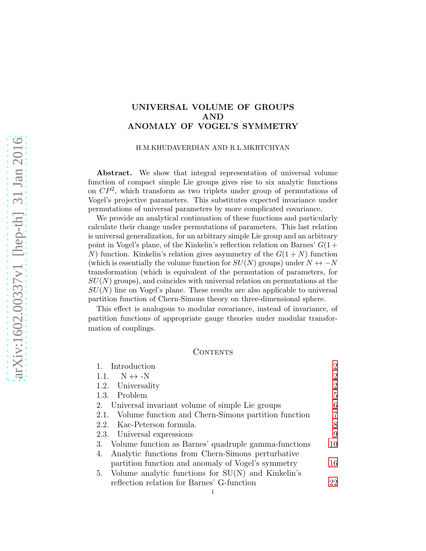# UNIVERSAL VOLUME OF GROUPS AND ANOMALY OF VOGEL'S SYMMETRY

H.M.KHUDAVERDIAN AND R.L.MKRTCHYAN

Abstract. We show that integral representation of universal volume function of compact simple Lie groups gives rise to six analytic functions on  $\mathbb{CP}^2$ , which transform as two triplets under group of permutations of Vogel's projective parameters. This substitutes expected invariance under permutations of universal parameters by more complicated covariance.

We provide an analytical continuation of these functions and particularly calculate their change under permutations of parameters. This last relation is universal generalization, for an arbitrary simple Lie group and an arbitrary point in Vogel's plane, of the Kinkelin's reflection relation on Barnes'  $G(1 +$ N) function. Kinkelin's relation gives asymmetry of the  $G(1+N)$  function (which is essentially the volume function for  $SU(N)$  groups) under  $N \leftrightarrow -N$ transformation (which is equivalent of the permutation of parameters, for  $SU(N)$  groups), and coincides with universal relation on permutations at the  $SU(N)$  line on Vogel's plane. These results are also applicable to universal partition function of Chern-Simons theory on three-dimensional sphere.

This effect is analogous to modular covariance, instead of invariance, of partition functions of appropriate gauge theories under modular transformation of couplings.

## **CONTENTS**

| 1. Introduction             |                                                          | 2              |
|-----------------------------|----------------------------------------------------------|----------------|
| 1.1. $N \leftrightarrow -N$ |                                                          | 2              |
| 1.2. Universality           |                                                          | 2              |
| 1.3. Problem                |                                                          | 5              |
|                             | 2. Universal invariant volume of simple Lie groups       | 6              |
|                             | 2.1. Volume function and Chern-Simons partition function | $\overline{7}$ |
|                             | 2.2. Kac-Peterson formula.                               | 8              |
|                             | 2.3. Universal expressions                               | 9              |
|                             | 3. Volume function as Barnes' quadruple gamma-functions  | 10             |
| 4.                          | Analytic functions from Chern-Simons perturbative        |                |
|                             | partition function and anomaly of Vogel's symmetry       | 16             |
|                             | 5. Volume analytic functions for $SU(N)$ and Kinkelin's  |                |
|                             | reflection relation for Barnes' G-function               | 22             |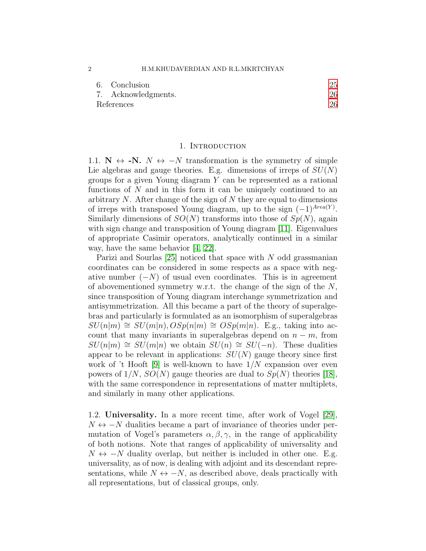2 H.M.KHUDAVERDIAN AND R.L.MKRTCHYAN

| 6. Conclusion       | 25 |
|---------------------|----|
| 7. Acknowledgments. | 26 |
| References          | 26 |

#### 1. INTRODUCTION

<span id="page-1-1"></span><span id="page-1-0"></span>1.1. N  $\leftrightarrow$  -N. N  $\leftrightarrow$  -N transformation is the symmetry of simple Lie algebras and gauge theories. E.g. dimensions of irreps of  $SU(N)$ groups for a given Young diagram Y can be represented as a rational functions of  $N$  and in this form it can be uniquely continued to an arbitrary  $N$ . After change of the sign of  $N$  they are equal to dimensions of irreps with transposed Young diagram, up to the sign  $(-1)^{Area(Y)}$ . Similarly dimensions of  $SO(N)$  transforms into those of  $Sp(N)$ , again with sign change and transposition of Young diagram [\[11\]](#page-25-2). Eigenvalues of appropriate Casimir operators, analytically continued in a similar way, have the same behavior [\[4,](#page-25-3) [22\]](#page-26-0).

Parizi and Sourlas  $[25]$  noticed that space with N odd grassmanian coordinates can be considered in some respects as a space with negative number  $(-N)$  of usual even coordinates. This is in agreement of abovementioned symmetry w.r.t. the change of the sign of the  $N$ , since transposition of Young diagram interchange symmetrization and antisymmetrization. All this became a part of the theory of superalgebras and particularly is formulated as an isomorphism of superalgebras  $SU(n|m) \cong SU(m|n), OSp(n|m) \cong OSp(m|n)$ . E.g., taking into account that many invariants in superalgebras depend on  $n - m$ , from  $SU(n|m) \cong SU(m|n)$  we obtain  $SU(n) \cong SU(-n)$ . These dualities appear to be relevant in applications:  $SU(N)$  gauge theory since first work of 't Hooft [\[9\]](#page-25-4) is well-known to have  $1/N$  expansion over even powers of  $1/N$ ,  $SO(N)$  gauge theories are dual to  $Sp(N)$  theories [\[18\]](#page-26-2), with the same correspondence in representations of matter multiplets, and similarly in many other applications.

<span id="page-1-2"></span>1.2. Universality. In a more recent time, after work of Vogel [\[29\]](#page-26-3),  $N \leftrightarrow -N$  dualities became a part of invariance of theories under permutation of Vogel's parameters  $\alpha, \beta, \gamma$ , in the range of applicability of both notions. Note that ranges of applicability of universality and  $N \leftrightarrow -N$  duality overlap, but neither is included in other one. E.g. universality, as of now, is dealing with adjoint and its descendant representations, while  $N \leftrightarrow -N$ , as described above, deals practically with all representations, but of classical groups, only.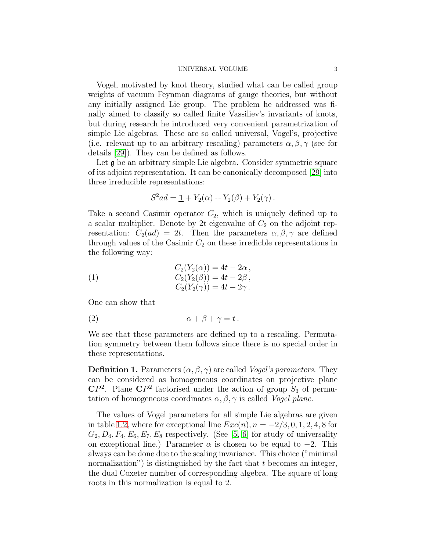#### UNIVERSAL VOLUME 3

Vogel, motivated by knot theory, studied what can be called group weights of vacuum Feynman diagrams of gauge theories, but without any initially assigned Lie group. The problem he addressed was finally aimed to classify so called finite Vassiliev's invariants of knots, but during research he introduced very convenient parametrization of simple Lie algebras. These are so called universal, Vogel's, projective (i.e. relevant up to an arbitrary rescaling) parameters  $\alpha, \beta, \gamma$  (see for details [\[29\]](#page-26-3)). They can be defined as follows.

Let  $\mathfrak g$  be an arbitrary simple Lie algebra. Consider symmetric square of its adjoint representation. It can be canonically decomposed [\[29\]](#page-26-3) into three irreducible representations:

<span id="page-2-1"></span>
$$
S^{2}ad = \mathbf{1} + Y_{2}(\alpha) + Y_{2}(\beta) + Y_{2}(\gamma).
$$

Take a second Casimir operator  $C_2$ , which is uniquely defined up to a scalar multiplier. Denote by 2t eigenvalue of  $C_2$  on the adjoint representation:  $C_2(ad) = 2t$ . Then the parameters  $\alpha, \beta, \gamma$  are defined through values of the Casimir  $C_2$  on these irredicble representations in the following way:

(1) 
$$
C_2(Y_2(\alpha)) = 4t - 2\alpha,
$$

$$
C_2(Y_2(\beta)) = 4t - 2\beta,
$$

$$
C_2(Y_2(\gamma)) = 4t - 2\gamma.
$$

One can show that

<span id="page-2-2"></span>
$$
\alpha + \beta + \gamma = t.
$$

We see that these parameters are defined up to a rescaling. Permutation symmetry between them follows since there is no special order in these representations.

<span id="page-2-0"></span>**Definition 1.** Parameters  $(\alpha, \beta, \gamma)$  are called *Vogel's parameters*. They can be considered as homogeneous coordinates on projective plane  $\mathbb{C}P^2$ . Plane  $\mathbb{C}P^2$  factorised under the action of group  $S_3$  of permutation of homogeneous coordinates  $\alpha$ ,  $\beta$ ,  $\gamma$  is called *Vogel plane*.

The values of Vogel parameters for all simple Lie algebras are given in table [1.2,](#page-2-0) where for exceptional line  $Exc(n), n = -2/3, 0, 1, 2, 4, 8$  for  $G_2, D_4, F_4, E_6, E_7, E_8$  respectively. (See [\[5,](#page-25-5) [6\]](#page-25-6) for study of universality on exceptional line.) Parameter  $\alpha$  is chosen to be equal to  $-2$ . This always can be done due to the scaling invariance. This choice ("minimal normalization") is distinguished by the fact that  $t$  becomes an integer, the dual Coxeter number of corresponding algebra. The square of long roots in this normalization is equal to 2.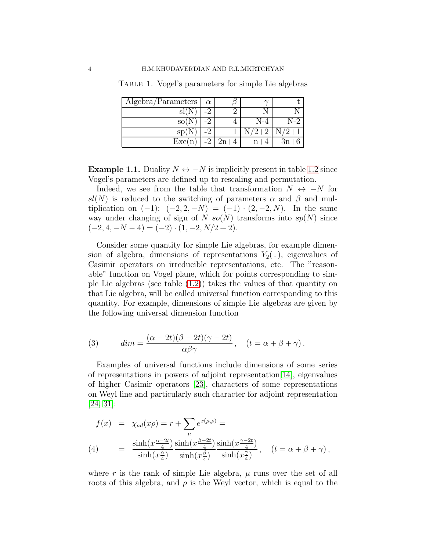| Algebra/Parameters | $\alpha$ |        |       |        |
|--------------------|----------|--------|-------|--------|
|                    |          |        |       |        |
| SO(N               |          |        |       | N-2    |
| sp(1)              |          |        |       |        |
| Exc(n)             | -2       | $2n+4$ | $n+4$ | $3n+6$ |

Table 1. Vogel's parameters for simple Lie algebras

**Example 1.1.** Duality  $N \leftrightarrow -N$  is implicitly present in table [1.2](#page-2-0) since Vogel's parameters are defined up to rescaling and permutation.

Indeed, we see from the table that transformation  $N \leftrightarrow -N$  for  $sl(N)$  is reduced to the switching of parameters  $\alpha$  and  $\beta$  and multiplication on  $(-1)$ :  $(-2, 2, -N) = (-1) \cdot (2, -2, N)$ . In the same way under changing of sign of N  $so(N)$  transforms into  $sp(N)$  since  $(-2, 4, -N-4) = (-2) \cdot (1, -2, N/2 + 2).$ 

Consider some quantity for simple Lie algebras, for example dimension of algebra, dimensions of representations  $Y_2(.)$ , eigenvalues of Casimir operators on irreducible representations, etc. The "reasonable" function on Vogel plane, which for points corresponding to simple Lie algebras (see table [\(1.2\)](#page-2-0)) takes the values of that quantity on that Lie algebra, will be called universal function corresponding to this quantity. For example, dimensions of simple Lie algebras are given by the following universal dimension function

<span id="page-3-0"></span>(3) 
$$
dim = \frac{(\alpha - 2t)(\beta - 2t)(\gamma - 2t)}{\alpha \beta \gamma}, \quad (t = \alpha + \beta + \gamma).
$$

Examples of universal functions include dimensions of some series of representations in powers of adjoint representation[\[14\]](#page-25-7), eigenvalues of higher Casimir operators [\[23\]](#page-26-4), characters of some representations on Weyl line and particularly such character for adjoint representation  $[24, 31]$  $[24, 31]$ :

<span id="page-3-1"></span>
$$
f(x) = \chi_{ad}(x\rho) = r + \sum_{\mu} e^{x(\mu,\rho)} =
$$
  
(4) 
$$
= \frac{\sinh(x \frac{\alpha - 2t}{4})}{\sinh(x \frac{\alpha}{4})} \frac{\sinh(x \frac{\beta - 2t}{4})}{\sinh(x \frac{\beta}{4})} \frac{\sinh(x \frac{\gamma - 2t}{4})}{\sinh(x \frac{\gamma}{4})}, \quad (t = \alpha + \beta + \gamma),
$$

where r is the rank of simple Lie algebra,  $\mu$  runs over the set of all roots of this algebra, and  $\rho$  is the Weyl vector, which is equal to the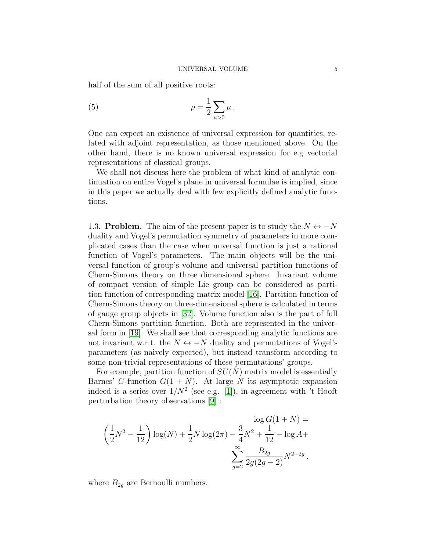half of the sum of all positive roots:

<span id="page-4-1"></span>(5) 
$$
\rho = \frac{1}{2} \sum_{\mu > 0} \mu.
$$

One can expect an existence of universal expression for quantities, related with adjoint representation, as those mentioned above. On the other hand, there is no known universal expression for e.g vectorial representations of classical groups.

We shall not discuss here the problem of what kind of analytic continuation on entire Vogel's plane in universal formulae is implied, since in this paper we actually deal with few explicitly defined analytic functions.

<span id="page-4-0"></span>1.3. **Problem.** The aim of the present paper is to study the  $N \leftrightarrow -N$ duality and Vogel's permutation symmetry of parameters in more complicated cases than the case when unversal function is just a rational function of Vogel's parameters. The main objects will be the universal function of group's volume and universal partition functions of Chern-Simons theory on three dimensional sphere. Invariant volume of compact version of simple Lie group can be considered as partition function of corresponding matrix model [\[16\]](#page-26-7). Partition function of Chern-Simons theory on three-dimensional sphere is calculated in terms of gauge group objects in [\[32\]](#page-26-8). Volume function also is the part of full Chern-Simons partition function. Both are represented in the universal form in [\[19\]](#page-26-9). We shall see that corresponding analytic functions are not invariant w.r.t. the  $N \leftrightarrow -N$  duality and permutations of Vogel's parameters (as naively expected), but instead transform according to some non-trivial representations of these permutations' groups.

For example, partition function of  $SU(N)$  matrix model is essentially Barnes' G-function  $G(1+N)$ . At large N its asymptotic expansion indeed is a series over  $1/N^2$  (see e.g. [\[1\]](#page-25-8)), in agreement with 't Hooft perturbation theory observations [\[9\]](#page-25-4) :

$$
\left(\frac{1}{2}N^2 - \frac{1}{12}\right)\log(N) + \frac{1}{2}N\log(2\pi) - \frac{3}{4}N^2 + \frac{1}{12} - \log A + \sum_{g=2}^{\infty} \frac{B_{2g}}{2g(2g-2)}N^{2-2g}.
$$

where  $B_{2q}$  are Bernoulli numbers.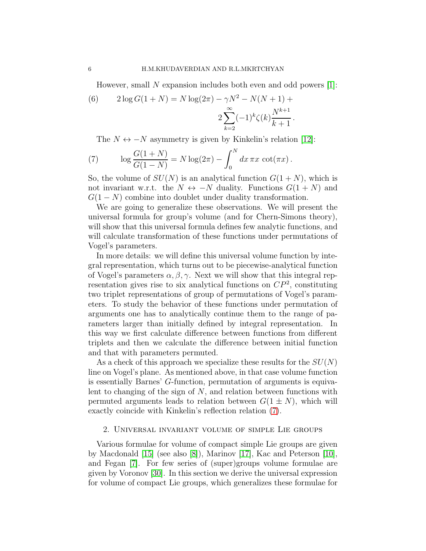<span id="page-5-2"></span>However, small N expansion includes both even and odd powers  $[1]$ :

(6) 
$$
2 \log G(1+N) = N \log(2\pi) - \gamma N^2 - N(N+1) + 2 \sum_{k=2}^{\infty} (-1)^k \zeta(k) \frac{N^{k+1}}{k+1}.
$$

<span id="page-5-1"></span>The  $N \leftrightarrow -N$  asymmetry is given by Kinkelin's relation [\[12\]](#page-25-9):

(7) 
$$
\log \frac{G(1+N)}{G(1-N)} = N \log(2\pi) - \int_0^N dx \,\pi x \, \cot(\pi x).
$$

So, the volume of  $SU(N)$  is an analytical function  $G(1+N)$ , which is not invariant w.r.t. the  $N \leftrightarrow -N$  duality. Functions  $G(1+N)$  and  $G(1-N)$  combine into doublet under duality transformation.

We are going to generalize these observations. We will present the universal formula for group's volume (and for Chern-Simons theory), will show that this universal formula defines few analytic functions, and will calculate transformation of these functions under permutations of Vogel's parameters.

In more details: we will define this universal volume function by integral representation, which turns out to be piecewise-analytical function of Vogel's parameters  $\alpha, \beta, \gamma$ . Next we will show that this integral representation gives rise to six analytical functions on  $\mathbb{CP}^2$ , constituting two triplet representations of group of permutations of Vogel's parameters. To study the behavior of these functions under permutation of arguments one has to analytically continue them to the range of parameters larger than initially defined by integral representation. In this way we first calculate difference between functions from different triplets and then we calculate the difference between initial function and that with parameters permuted.

As a check of this approach we specialize these results for the  $SU(N)$ line on Vogel's plane. As mentioned above, in that case volume function is essentially Barnes' G-function, permutation of arguments is equivalent to changing of the sign of  $N$ , and relation between functions with permuted arguments leads to relation between  $G(1 \pm N)$ , which will exactly coincide with Kinkelin's reflection relation [\(7\)](#page-5-1).

### <span id="page-5-0"></span>2. Universal invariant volume of simple Lie groups

Various formulae for volume of compact simple Lie groups are given by Macdonald [\[15\]](#page-26-10) (see also [\[8\]](#page-25-10)), Marinov [\[17\]](#page-26-11), Kac and Peterson [\[10\]](#page-25-11), and Fegan [\[7\]](#page-25-12). For few series of (super)groups volume formulae are given by Voronov [\[30\]](#page-26-12). In this section we derive the universal expression for volume of compact Lie groups, which generalizes these formulae for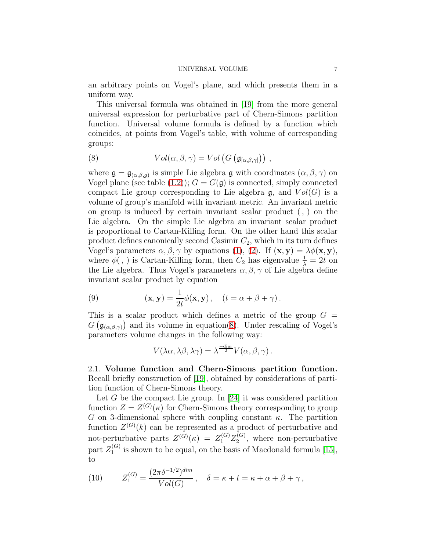#### UNIVERSAL VOLUME 7

an arbitrary points on Vogel's plane, and which presents them in a uniform way.

This universal formula was obtained in [\[19\]](#page-26-9) from the more general universal expression for perturbative part of Chern-Simons partition function. Universal volume formula is defined by a function which coincides, at points from Vogel's table, with volume of corresponding groups:

<span id="page-6-1"></span>(8) 
$$
Vol(\alpha, \beta, \gamma) = Vol \left( G \left( \mathfrak{g}_{[\alpha, \beta, \gamma]} \right) \right),
$$

where  $\mathfrak{g} = \mathfrak{g}_{(\alpha,\beta,g)}$  is simple Lie algebra g with coordinates  $(\alpha,\beta,\gamma)$  on Vogel plane (see table [\(1.2\)](#page-2-0));  $G = G(\mathfrak{g})$  is connected, simply connected compact Lie group corresponding to Lie algebra  $\mathfrak{g}$ , and  $Vol(G)$  is a volume of group's manifold with invariant metric. An invariant metric on group is induced by certain invariant scalar product (, ) on the Lie algebra. On the simple Lie algebra an invariant scalar product is proportional to Cartan-Killing form. On the other hand this scalar product defines canonically second Casimir  $C_2$ , which in its turn defines Vogel's parameters  $\alpha, \beta, \gamma$  by equations [\(1\)](#page-2-1), [\(2\)](#page-2-2). If  $(\mathbf{x}, \mathbf{y}) = \lambda \phi(\mathbf{x}, \mathbf{y}),$ where  $\phi(.)$  is Cartan-Killing form, then  $C_2$  has eigenvalue  $\frac{1}{\lambda} = 2t$  on the Lie algebra. Thus Vogel's parameters  $\alpha, \beta, \gamma$  of Lie algebra define invariant scalar product by equation

(9) 
$$
(\mathbf{x}, \mathbf{y}) = \frac{1}{2t} \phi(\mathbf{x}, \mathbf{y}), \quad (t = \alpha + \beta + \gamma).
$$

This is a scalar product which defines a metric of the group  $G =$  $G\left(\mathfrak{g}_{(\alpha,\beta,\gamma)}\right)$  and its volume in equation[\(8\)](#page-6-1). Under rescaling of Vogel's parameters volume changes in the following way:

<span id="page-6-2"></span>
$$
V(\lambda \alpha, \lambda \beta, \lambda \gamma) = \lambda^{\frac{-\dim}{2}} V(\alpha, \beta, \gamma).
$$

<span id="page-6-0"></span>2.1. Volume function and Chern-Simons partition function. Recall briefly construction of [\[19\]](#page-26-9), obtained by considerations of partition function of Chern-Simons theory.

Let  $G$  be the compact Lie group. In [\[24\]](#page-26-5) it was considered partition function  $Z = Z^{(G)}(\kappa)$  for Chern-Simons theory corresponding to group G on 3-dimensional sphere with coupling constant  $\kappa$ . The partition function  $Z^{(G)}(k)$  can be represented as a product of perturbative and not-perturbative parts  $Z^{(G)}(\kappa) = Z_1^{(G)} Z_2^{(G)}$  $2^{(G)}$ , where non-perturbative part  $Z_1^{(G)}$  $i_{1}^{(G)}$  is shown to be equal, on the basis of Macdonald formula [\[15\]](#page-26-10), to

(10) 
$$
Z_1^{(G)} = \frac{(2\pi\delta^{-1/2})^{dim}}{Vol(G)}, \quad \delta = \kappa + t = \kappa + \alpha + \beta + \gamma,
$$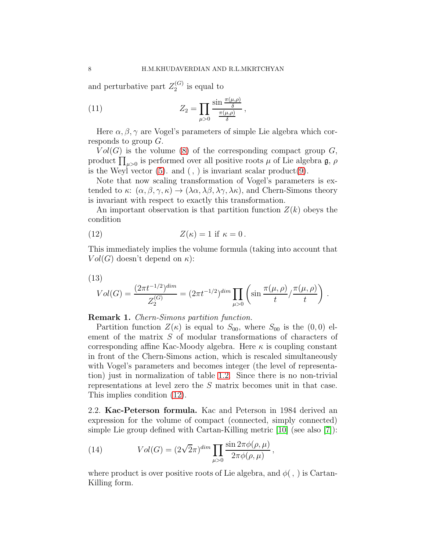and perturbative part  $Z_2^{(G)}$  $2^{(G)}$  is equal to

<span id="page-7-4"></span>(11) 
$$
Z_2 = \prod_{\mu>0} \frac{\sin \frac{\pi(\mu,\rho)}{\delta}}{\frac{\pi(\mu,\rho)}{\delta}},
$$

Here  $\alpha, \beta, \gamma$  are Vogel's parameters of simple Lie algebra which corresponds to group G.

 $Vol(G)$  is the volume [\(8\)](#page-6-1) of the corresponding compact group G, product  $\prod_{\mu>0}$  is performed over all positive roots  $\mu$  of Lie algebra  $\mathfrak{g}, \rho$ is the Weyl vector  $(5)$ . and  $($ ,  $)$  is invariant scalar product $(9)$ .

Note that now scaling transformation of Vogel's parameters is extended to  $\kappa: (\alpha, \beta, \gamma, \kappa) \to (\lambda \alpha, \lambda \beta, \lambda \gamma, \lambda \kappa)$ , and Chern-Simons theory is invariant with respect to exactly this transformation.

An important observation is that partition function  $Z(k)$  obeys the condition

<span id="page-7-1"></span>(12) 
$$
Z(\kappa) = 1 \text{ if } \kappa = 0.
$$

This immediately implies the volume formula (taking into account that  $Vol(G)$  doesn't depend on  $\kappa$ ):

$$
(13)
$$

<span id="page-7-2"></span>
$$
Vol(G) = \frac{(2\pi t^{-1/2})^{dim}}{Z_2^{(G)}} = (2\pi t^{-1/2})^{dim} \prod_{\mu>0} \left( \sin \frac{\pi(\mu, \rho)}{t} / \frac{\pi(\mu, \rho)}{t} \right).
$$

Remark 1. *Chern-Simons partition function.*

Partition function  $Z(\kappa)$  is equal to  $S_{00}$ , where  $S_{00}$  is the  $(0,0)$  element of the matrix S of modular transformations of characters of corresponding affine Kac-Moody algebra. Here  $\kappa$  is coupling constant in front of the Chern-Simons action, which is rescaled simultaneously with Vogel's parameters and becomes integer (the level of representation) just in normalization of table [1.2.](#page-2-0) Since there is no non-trivial representations at level zero the S matrix becomes unit in that case. This implies condition [\(12\)](#page-7-1).

<span id="page-7-0"></span>2.2. Kac-Peterson formula. Kac and Peterson in 1984 derived an expression for the volume of compact (connected, simply connected) simple Lie group defined with Cartan-Killing metric [\[10\]](#page-25-11) (see also [\[7\]](#page-25-12)):

<span id="page-7-3"></span>(14) 
$$
Vol(G) = (2\sqrt{2}\pi)^{dim} \prod_{\mu>0} \frac{\sin 2\pi \phi(\rho,\mu)}{2\pi \phi(\rho,\mu)},
$$

where product is over positive roots of Lie algebra, and  $\phi(\, ,\,)$  is Cartan-Killing form.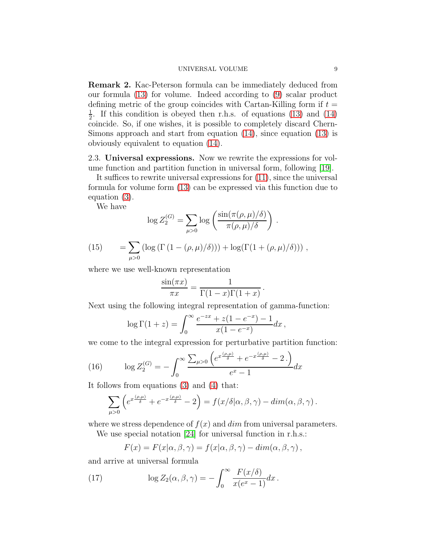<span id="page-8-1"></span>Remark 2. Kac-Peterson formula can be immediately deduced from our formula [\(13\)](#page-7-2) for volume. Indeed according to [\(9\)](#page-6-2) scalar product defining metric of the group coincides with Cartan-Killing form if  $t =$ 1  $\frac{1}{2}$ . If this condition is obeyed then r.h.s. of equations [\(13\)](#page-7-2) and [\(14\)](#page-7-3) coincide. So, if one wishes, it is possible to completely discard Chern-Simons approach and start from equation [\(14\)](#page-7-3), since equation [\(13\)](#page-7-2) is obviously equivalent to equation [\(14\)](#page-7-3).

<span id="page-8-0"></span>2.3. Universal expressions. Now we rewrite the expressions for volume function and partition function in universal form, following [\[19\]](#page-26-9).

It suffices to rewrite universal expressions for [\(11\)](#page-7-4), since the universal formula for volume form [\(13\)](#page-7-2) can be expressed via this function due to equation [\(3\)](#page-3-0).

We have

$$
\log Z_2^{(G)} = \sum_{\mu>0} \log \left( \frac{\sin(\pi(\rho, \mu)/\delta)}{\pi(\rho, \mu)/\delta} \right).
$$
  
(15) 
$$
= \sum_{\mu>0} \left( \log \left( \Gamma(1 - (\rho, \mu)/\delta) \right) \right) + \log(\Gamma(1 + (\rho, \mu)/\delta)) \right),
$$

where we use well-known representation

$$
\frac{\sin(\pi x)}{\pi x} = \frac{1}{\Gamma(1-x)\Gamma(1+x)}.
$$

Next using the following integral representation of gamma-function:

$$
\log \Gamma(1+z) = \int_0^\infty \frac{e^{-zx} + z(1 - e^{-x}) - 1}{x(1 - e^{-x})} dx,
$$

we come to the integral expression for perturbative partition function:

(16) 
$$
\log Z_2^{(G)} = -\int_0^\infty \frac{\sum_{\mu>0} \left( e^{x \frac{(\rho,\mu)}{\delta}} + e^{-x \frac{(\rho,\mu)}{\delta}} - 2 \cdot \right)}{e^x - 1} dx
$$

It follows from equations [\(3\)](#page-3-0) and [\(4\)](#page-3-1) that:

<span id="page-8-3"></span>
$$
\sum_{\mu>0} \left( e^{x \frac{(\rho,\mu)}{\delta}} + e^{-x \frac{(\rho,\mu)}{\delta}} - 2 \right) = f(x/\delta | \alpha, \beta, \gamma) - \dim(\alpha, \beta, \gamma).
$$

where we stress dependence of  $f(x)$  and  $dim$  from universal parameters. We use special notation [\[24\]](#page-26-5) for universal function in r.h.s.:

<span id="page-8-2"></span>
$$
F(x) = F(x|\alpha, \beta, \gamma) = f(x|\alpha, \beta, \gamma) - dim(\alpha, \beta, \gamma),
$$

and arrive at universal formula

(17) 
$$
\log Z_2(\alpha, \beta, \gamma) = -\int_0^\infty \frac{F(x/\delta)}{x(e^x - 1)} dx.
$$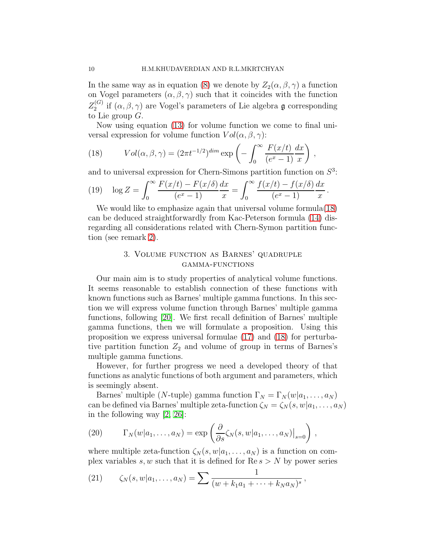In the same way as in equation [\(8\)](#page-6-1) we denote by  $Z_2(\alpha, \beta, \gamma)$  a function on Vogel parameters  $(\alpha, \beta, \gamma)$  such that it coincides with the function  $Z_2^{(G)}$  $i_{2}^{(G)}$  if  $(\alpha, \beta, \gamma)$  are Vogel's parameters of Lie algebra  $\mathfrak g$  corresponding to Lie group  $G$ .

Now using equation [\(13\)](#page-7-2) for volume function we come to final universal expression for volume function  $Vol(\alpha, \beta, \gamma)$ :

<span id="page-9-1"></span>(18) 
$$
Vol(\alpha, \beta, \gamma) = (2\pi t^{-1/2})^{dim} \exp\left(-\int_0^\infty \frac{F(x/t)}{(e^x - 1)} \frac{dx}{x}\right),
$$

and to universal expression for Chern-Simons partition function on  $S<sup>3</sup>$ :

(19) 
$$
\log Z = \int_0^\infty \frac{F(x/t) - F(x/\delta)}{(e^x - 1)} \frac{dx}{x} = \int_0^\infty \frac{f(x/t) - f(x/\delta)}{(e^x - 1)} \frac{dx}{x}.
$$

We would like to emphasize again that universal volume formula[\(18\)](#page-9-1) can be deduced straightforwardly from Kac-Peterson formula [\(14\)](#page-7-3) disregarding all considerations related with Chern-Symon partition function (see remark [2\)](#page-8-1).

# 3. Volume function as Barnes' quadruple gamma-functions

<span id="page-9-0"></span>Our main aim is to study properties of analytical volume functions. It seems reasonable to establish connection of these functions with known functions such as Barnes' multiple gamma functions. In this section we will express volume function through Barnes' multiple gamma functions, following [\[20\]](#page-26-13). We first recall definition of Barnes' multiple gamma functions, then we will formulate a proposition. Using this proposition we express universal formulae [\(17\)](#page-8-2) and [\(18\)](#page-9-1) for perturbative partition function  $Z_2$  and volume of group in terms of Barnes's multiple gamma functions.

However, for further progress we need a developed theory of that functions as analytic functions of both argument and parameters, which is seemingly absent.

Barnes' multiple (N-tuple) gamma function  $\Gamma_N = \Gamma_N(w|a_1,\ldots,a_N)$ can be defined via Barnes' multiple zeta-function  $\zeta_N = \zeta_N(s, w|a_1, \ldots, a_N)$ in the following way [\[2,](#page-25-13) [26\]](#page-26-14):

<span id="page-9-2"></span>(20) 
$$
\Gamma_N(w|a_1,\ldots,a_N) = \exp\left(\frac{\partial}{\partial s}\zeta_N(s,w|a_1,\ldots,a_N)\big|_{s=0}\right),
$$

where multiple zeta-function  $\zeta_N(s, w|a_1, \ldots, a_N)$  is a function on complex variables s, w such that it is defined for  $\text{Re } s > N$  by power series

<span id="page-9-3"></span>(21) 
$$
\zeta_N(s, w|a_1, \ldots, a_N) = \sum \frac{1}{(w + k_1 a_1 + \cdots + k_N a_N)^s},
$$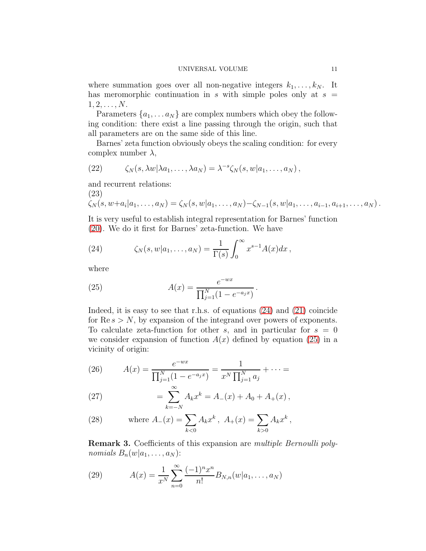where summation goes over all non-negative integers  $k_1, \ldots, k_N$ . It has meromorphic continuation in s with simple poles only at  $s =$  $1, 2, \ldots, N$ .

Parameters  $\{a_1, \ldots a_N\}$  are complex numbers which obey the following condition: there exist a line passing through the origin, such that all parameters are on the same side of this line.

Barnes' zeta function obviously obeys the scaling condition: for every complex number  $\lambda$ ,

<span id="page-10-3"></span>(22) 
$$
\zeta_N(s, \lambda w | \lambda a_1, \ldots, \lambda a_N) = \lambda^{-s} \zeta_N(s, w | a_1, \ldots, a_N),
$$

and recurrent relations:

(23)

<span id="page-10-4"></span>
$$
\zeta_N(s, w+a_i|a_1, \ldots, a_N) = \zeta_N(s, w|a_1, \ldots, a_N) - \zeta_{N-1}(s, w|a_1, \ldots, a_{i-1}, a_{i+1}, \ldots, a_N).
$$

It is very useful to establish integral representation for Barnes' function [\(20\)](#page-9-2). We do it first for Barnes' zeta-function. We have

<span id="page-10-0"></span>(24) 
$$
\zeta_N(s, w|a_1,\ldots,a_N) = \frac{1}{\Gamma(s)} \int_0^\infty x^{s-1} A(x) dx,
$$

where

<span id="page-10-1"></span>(25) 
$$
A(x) = \frac{e^{-wx}}{\prod_{j=1}^{N} (1 - e^{-a_j x})}.
$$

Indeed, it is easy to see that r.h.s. of equations [\(24\)](#page-10-0) and [\(21\)](#page-9-3) coincide for  $\text{Re } s > N$ , by expansion of the integrand over powers of exponents. To calculate zeta-function for other s, and in particular for  $s = 0$ we consider expansion of function  $A(x)$  defined by equation [\(25\)](#page-10-1) in a vicinity of origin:

<span id="page-10-2"></span>(26) 
$$
A(x) = \frac{e^{-wx}}{\prod_{j=1}^{N} (1 - e^{-a_j x})} = \frac{1}{x^N \prod_{j=1}^{N} a_j} + \cdots =
$$

(27) 
$$
= \sum_{k=-N}^{\infty} A_k x^k = A_-(x) + A_0 + A_+(x),
$$

(28) where 
$$
A_{-}(x) = \sum_{k < 0} A_k x^k
$$
,  $A_{+}(x) = \sum_{k > 0} A_k x^k$ ,

Remark 3. Coefficients of this expansion are *multiple Bernoulli polynomials*  $B_n(w|a_1,\ldots,a_N)$ :

(29) 
$$
A(x) = \frac{1}{x^N} \sum_{n=0}^{\infty} \frac{(-1)^n x^n}{n!} B_{N,n}(w|a_1,\ldots,a_N)
$$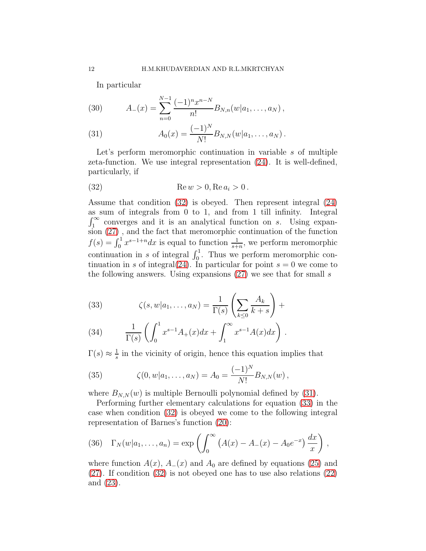<span id="page-11-1"></span>In particular

(30) 
$$
A_{-}(x) = \sum_{n=0}^{N-1} \frac{(-1)^n x^{n-N}}{n!} B_{N,n}(w|a_1,\ldots,a_N),
$$

(31) 
$$
A_0(x) = \frac{(-1)^N}{N!} B_{N,N}(w|a_1,\ldots,a_N).
$$

Let's perform meromorphic continuation in variable s of multiple zeta-function. We use integral representation [\(24\)](#page-10-0). It is well-defined, particularly, if

<span id="page-11-0"></span>(32) 
$$
\operatorname{Re} w > 0, \operatorname{Re} a_i > 0.
$$

Assume that condition [\(32\)](#page-11-0) is obeyed. Then represent integral [\(24\)](#page-10-0) as sum of integrals from 0 to 1, and from 1 till infinity. Integral  $\int_1^\infty$  converges and it is an analytical function on s. Using expan- $\sin(27)$ , and the fact that meromorphic continuation of the function  $f(s) = \int_0^1 x^{s-1+n} dx$  is equal to function  $\frac{1}{s+n}$ , we perform meromorphic continuation in s of integral  $\int_0^1$ . Thus we perform meromorphic con-tinuation in s of integral[\(24\)](#page-10-0). In particular for point  $s = 0$  we come to the following answers. Using expansions  $(27)$  we see that for small s

<span id="page-11-2"></span>(33) 
$$
\zeta(s, w|a_1, \dots, a_N) = \frac{1}{\Gamma(s)} \left( \sum_{k \leq 0} \frac{A_k}{k+s} \right) +
$$

(34) 
$$
\frac{1}{\Gamma(s)} \left( \int_0^1 x^{s-1} A_+(x) dx + \int_1^\infty x^{s-1} A(x) dx \right).
$$

 $\Gamma(s) \approx \frac{1}{s}$  $\frac{1}{s}$  in the vicinity of origin, hence this equation implies that

(35) 
$$
\zeta(0, w|a_1, \ldots, a_N) = A_0 = \frac{(-1)^N}{N!} B_{N,N}(w),
$$

where  $B_{N,N}(w)$  is multiple Bernoulli polynomial defined by [\(31\)](#page-11-1).

Performing further elementary calculations for equation [\(33\)](#page-11-2) in the case when condition [\(32\)](#page-11-0) is obeyed we come to the following integral representation of Barnes's function [\(20\)](#page-9-2):

<span id="page-11-3"></span>(36) 
$$
\Gamma_N(w|a_1,...,a_n) = \exp \left( \int_0^\infty \left( A(x) - A_-(x) - A_0 e^{-x} \right) \frac{dx}{x} \right)
$$
,

where function  $A(x)$ ,  $A_-(x)$  and  $A_0$  are defined by equations [\(25\)](#page-10-1) and [\(27\)](#page-10-2). If condition [\(32\)](#page-11-0) is not obeyed one has to use also relations [\(22\)](#page-10-3) and [\(23\)](#page-10-4).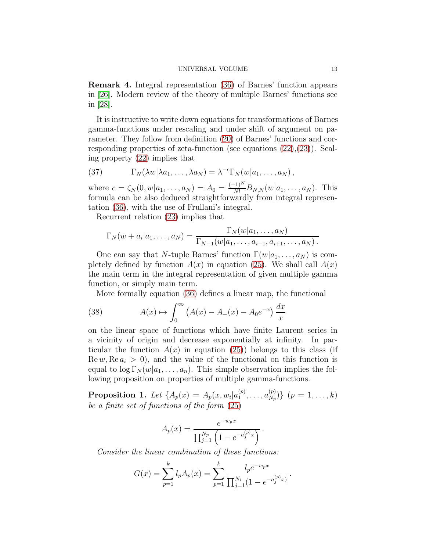<span id="page-12-3"></span>Remark 4. Integral representation [\(36\)](#page-11-3) of Barnes' function appears in [\[26\]](#page-26-14). Modern review of the theory of multiple Barnes' functions see in [\[28\]](#page-26-15).

It is instructive to write down equations for transformations of Barnes gamma-functions under rescaling and under shift of argument on parameter. They follow from definition [\(20\)](#page-9-2) of Barnes' functions and corresponding properties of zeta-function (see equations  $(22),(23)$  $(22),(23)$ ). Scaling property [\(22\)](#page-10-3) implies that

<span id="page-12-2"></span>(37) 
$$
\Gamma_N(\lambda w|\lambda a_1,\ldots,\lambda a_N)=\lambda^{-c}\Gamma_N(w|a_1,\ldots,a_N),
$$

where  $c = \zeta_N(0, w|a_1, \dots, a_N) = A_0 = \frac{(-1)^N}{N!} B_{N,N}(w|a_1, \dots, a_N)$ . This formula can be also deduced straightforwardly from integral representation [\(36\)](#page-11-3), with the use of Frullani's integral.

Recurrent relation [\(23\)](#page-10-4) implies that

$$
\Gamma_N(w + a_i | a_1, ..., a_N) = \frac{\Gamma_N(w | a_1, ..., a_N)}{\Gamma_{N-1}(w | a_1, ..., a_{i-1}, a_{i+1}, ..., a_N)}
$$

One can say that N-tuple Barnes' function  $\Gamma(w|a_1,\ldots,a_N)$  is completely defined by function  $A(x)$  in equation [\(25\)](#page-10-1). We shall call  $A(x)$ the main term in the integral representation of given multiple gamma function, or simply main term.

<span id="page-12-1"></span>More formally equation [\(36\)](#page-11-3) defines a linear map, the functional

(38) 
$$
A(x) \mapsto \int_0^\infty (A(x) - A_-(x) - A_0 e^{-x}) \frac{dx}{x}
$$

on the linear space of functions which have finite Laurent series in a vicinity of origin and decrease exponentially at infinity. In particular the function  $A(x)$  in equation [\(25\)](#page-10-1)) belongs to this class (if  $\text{Re } w, \text{Re } a_i > 0$ , and the value of the functional on this function is equal to  $\log \Gamma_N(w|a_1,\ldots,a_n)$ . This simple observation implies the following proposition on properties of multiple gamma-functions.

<span id="page-12-0"></span>**Proposition 1.** Let  $\{A_p(x) = A_p(x, w_i | a_1^{(p)})\}$  $\binom{p}{1},\ldots,\binom{p}{N_p}$  $\{ {p \choose N_p} \}$   $(p = 1, \ldots, k)$ *be a finite set of functions of the form* [\(25\)](#page-10-1)

$$
A_p(x) = \frac{e^{-w_p x}}{\prod_{j=1}^{N_p} \left(1 - e^{-a_j^{(p)}x}\right)}.
$$

*Consider the linear combination of these functions:*

$$
G(x) = \sum_{p=1}^{k} l_p A_p(x) = \sum_{p=1}^{k} \frac{l_p e^{-w_p x}}{\prod_{j=1}^{N_i} (1 - e^{-a_j^{(p)} x})}.
$$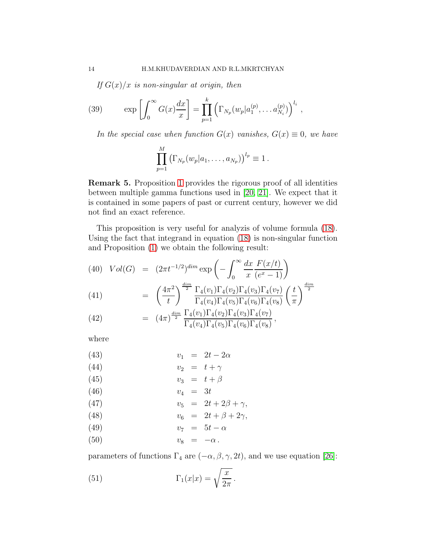*If*  $G(x)/x$  *is non-singular at origin, then* 

(39) 
$$
\exp \left[ \int_0^\infty G(x) \frac{dx}{x} \right] = \prod_{p=1}^k \left( \Gamma_{N_p}(w_p | a_1^{(p)}, \dots a_{N_i}^{(p)}) \right)^{l_i},
$$

*In the special case when function*  $G(x)$  *vanishes,*  $G(x) \equiv 0$ *, we have* 

$$
\prod_{p=1}^{M} (\Gamma_{N_p}(w_p|a_1,\ldots,a_{N_p}))^{l_p} \equiv 1.
$$

<span id="page-13-0"></span>Remark 5. Proposition [1](#page-12-0) provides the rigorous proof of all identities between multiple gamma functions used in [\[20,](#page-26-13) [21\]](#page-26-16). We expect that it is contained in some papers of past or current century, however we did not find an exact reference.

This proposition is very useful for analyzis of volume formula [\(18\)](#page-9-1). Using the fact that integrand in equation [\(18\)](#page-9-1) is non-singular function and Proposition [\(1\)](#page-12-0) we obtain the following result:

(40) 
$$
Vol(G) = (2\pi t^{-1/2})^{dim} \exp\left(-\int_0^\infty \frac{dx}{x} \frac{F(x/t)}{(e^x - 1)}\right)
$$

(41) 
$$
= \left(\frac{4\pi^2}{t}\right)^{\frac{dim}{2}} \frac{\Gamma_4(v_1)\Gamma_4(v_2)\Gamma_4(v_3)\Gamma_4(v_7)}{\Gamma_4(v_4)\Gamma_4(v_5)\Gamma_4(v_6)\Gamma_4(v_8)} \left(\frac{t}{\pi}\right)^{\frac{dim}{2}}
$$

(42) 
$$
= (4\pi)^{\frac{dim}{2}} \frac{\Gamma_4(v_1)\Gamma_4(v_2)\Gamma_4(v_3)\Gamma_4(v_7)}{\Gamma_4(v_4)\Gamma_4(v_5)\Gamma_4(v_6)\Gamma_4(v_8)},
$$

where

<span id="page-13-1"></span>
$$
(43) \t v_1 = 2t - 2\alpha
$$

$$
(44) \t v_2 = t + \gamma
$$

$$
(45) \t v_3 = t + \beta
$$

$$
(46) \t v_4 = 3t
$$

$$
(47) \t\t v_5 = 2t + 2\beta + \gamma,
$$

$$
(48) \t v_6 = 2t + \beta + 2\gamma,
$$

$$
(49) \t v_7 = 5t - \alpha
$$

$$
(50) \t v_8 = -\alpha.
$$

parameters of functions  $\Gamma_4$  are  $(-\alpha, \beta, \gamma, 2t)$ , and we use equation [\[26\]](#page-26-14):

<span id="page-13-2"></span>(51) 
$$
\Gamma_1(x|x) = \sqrt{\frac{x}{2\pi}}.
$$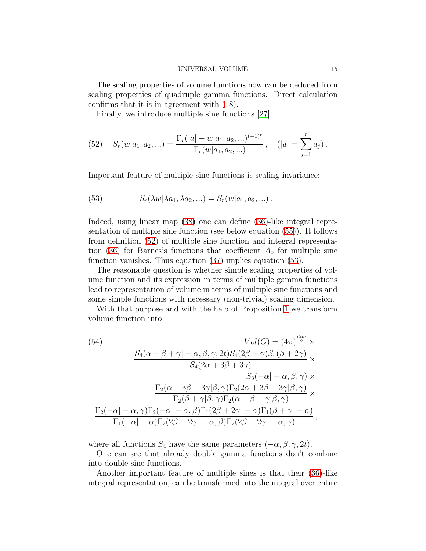The scaling properties of volume functions now can be deduced from scaling properties of quadruple gamma functions. Direct calculation confirms that it is in agreement with [\(18\)](#page-9-1).

Finally, we introduce multiple sine functions [\[27\]](#page-26-17)

<span id="page-14-0"></span>(52) 
$$
S_r(w|a_1, a_2, \ldots) = \frac{\Gamma_r(|a| - w|a_1, a_2, \ldots)^{(-1)^r}}{\Gamma_r(w|a_1, a_2, \ldots)}, \quad (|a| = \sum_{j=1}^r a_j).
$$

Important feature of multiple sine functions is scaling invariance:

<span id="page-14-1"></span>(53) 
$$
S_r(\lambda w | \lambda a_1, \lambda a_2, ...) = S_r(w | a_1, a_2, ...).
$$

Indeed, using linear map [\(38\)](#page-12-1) one can define [\(36\)](#page-11-3)-like integral representation of multiple sine function (see below equation [\(55\)](#page-15-1)). It follows from definition [\(52\)](#page-14-0) of multiple sine function and integral representa-tion [\(36\)](#page-11-3) for Barnes's functions that coefficient  $A_0$  for multiple sine function vanishes. Thus equation [\(37\)](#page-12-2) implies equation [\(53\)](#page-14-1).

The reasonable question is whether simple scaling properties of volume function and its expression in terms of multiple gamma functions lead to representation of volume in terms of multiple sine functions and some simple functions with necessary (non-trivial) scaling dimension.

With that purpose and with the help of Proposition [1](#page-12-0) we transform volume function into

<span id="page-14-2"></span>(54)  
\n
$$
Vol(G) = (4\pi)^{\frac{dim}{2}} \times
$$
\n
$$
\frac{S_4(\alpha + \beta + \gamma | -\alpha, \beta, \gamma, 2t)S_4(2\beta + \gamma)S_4(\beta + 2\gamma)}{S_4(2\alpha + 3\beta + 3\gamma)} \times
$$
\n
$$
S_3(-\alpha | -\alpha, \beta, \gamma) \times
$$
\n
$$
\frac{\Gamma_2(\alpha + 3\beta + 3\gamma | \beta, \gamma)\Gamma_2(2\alpha + 3\beta + 3\gamma | \beta, \gamma)}{\Gamma_2(\beta + \gamma | \beta, \gamma)\Gamma_2(\alpha + \beta + \gamma | \beta, \gamma)} \times
$$
\n
$$
\frac{\Gamma_2(-\alpha | -\alpha, \gamma)\Gamma_2(-\alpha | -\alpha, \beta)\Gamma_1(2\beta + 2\gamma | -\alpha)\Gamma_1(\beta + \gamma | -\alpha)}{\Gamma_1(-\alpha | -\alpha)\Gamma_2(2\beta + 2\gamma | -\alpha, \beta)\Gamma_2(2\beta + 2\gamma | -\alpha, \gamma)},
$$

where all functions  $S_4$  have the same parameters  $(-\alpha, \beta, \gamma, 2t)$ .

One can see that already double gamma functions don't combine into double sine functions.

Another important feature of multiple sines is that their [\(36\)](#page-11-3)-like integral representation, can be transformed into the integral over entire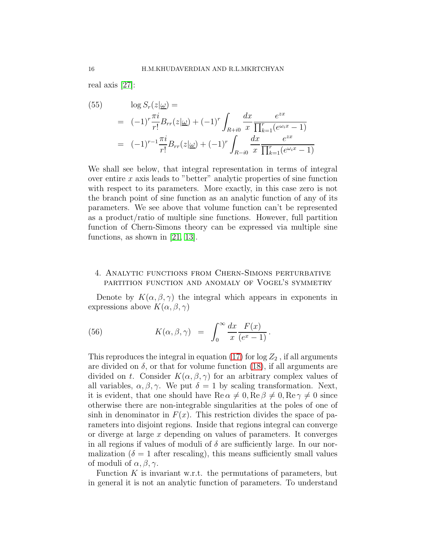real axis [\[27\]](#page-26-17):

<span id="page-15-1"></span>(55) 
$$
\log S_r(z|\underline{\omega}) =
$$
  
=  $(-1)^r \frac{\pi i}{r!} B_{rr}(z|\underline{\omega}) + (-1)^r \int_{R+i0} \frac{dx}{x} \frac{e^{zx}}{\prod_{k=1}^r (e^{\omega_i x} - 1)}$   
=  $(-1)^{r-1} \frac{\pi i}{r!} B_{rr}(z|\underline{\omega}) + (-1)^r \int_{R-i0} \frac{dx}{x} \frac{e^{zx}}{\prod_{k=1}^r (e^{\omega_i x} - 1)}$ 

We shall see below, that integral representation in terms of integral over entire x axis leads to "better" analytic properties of sine function with respect to its parameters. More exactly, in this case zero is not the branch point of sine function as an analytic function of any of its parameters. We see above that volume function can't be represented as a product/ratio of multiple sine functions. However, full partition function of Chern-Simons theory can be expressed via multiple sine functions, as shown in [\[21,](#page-26-16) [13\]](#page-25-14).

## <span id="page-15-0"></span>4. Analytic functions from Chern-Simons perturbative partition function and anomaly of Vogel's symmetry

Denote by  $K(\alpha, \beta, \gamma)$  the integral which appears in exponents in expressions above  $K(\alpha, \beta, \gamma)$ 

<span id="page-15-2"></span>(56) 
$$
K(\alpha, \beta, \gamma) = \int_0^\infty \frac{dx}{x} \frac{F(x)}{(e^x - 1)}.
$$

This reproduces the integral in equation [\(17\)](#page-8-2) for  $\log Z_2$ , if all arguments are divided on  $\delta$ , or that for volume function [\(18\)](#page-9-1), if all arguments are divided on t. Consider  $K(\alpha, \beta, \gamma)$  for an arbitrary complex values of all variables,  $\alpha, \beta, \gamma$ . We put  $\delta = 1$  by scaling transformation. Next, it is evident, that one should have Re  $\alpha \neq 0$ , Re  $\beta \neq 0$ , Re  $\gamma \neq 0$  since otherwise there are non-integrable singularities at the poles of one of sinh in denominator in  $F(x)$ . This restriction divides the space of parameters into disjoint regions. Inside that regions integral can converge or diverge at large x depending on values of parameters. It converges in all regions if values of moduli of  $\delta$  are sufficiently large. In our normalization ( $\delta = 1$  after rescaling), this means sufficiently small values of moduli of  $\alpha, \beta, \gamma$ .

Function K is invariant w.r.t. the permutations of parameters, but in general it is not an analytic function of parameters. To understand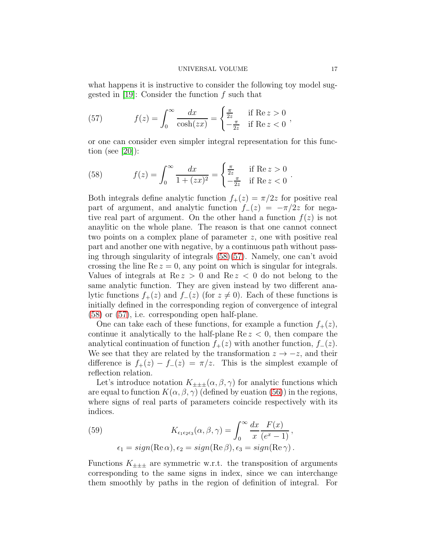what happens it is instructive to consider the following toy model suggested in  $[19]$ : Consider the function f such that

<span id="page-16-1"></span>(57) 
$$
f(z) = \int_0^\infty \frac{dx}{\cosh(zx)} = \begin{cases} \frac{\pi}{2z} & \text{if } \text{Re } z > 0 \\ -\frac{\pi}{2z} & \text{if } \text{Re } z < 0 \end{cases},
$$

or one can consider even simpler integral representation for this func-tion (see [\[20\]](#page-26-13)):

<span id="page-16-0"></span>(58) 
$$
f(z) = \int_0^\infty \frac{dx}{1 + (zx)^2} = \begin{cases} \frac{\pi}{2z} & \text{if } \text{Re } z > 0 \\ -\frac{\pi}{2z} & \text{if } \text{Re } z < 0 \end{cases}.
$$

Both integrals define analytic function  $f_+(z) = \pi/2z$  for positive real part of argument, and analytic function  $f_-(z) = -\pi/2z$  for negative real part of argument. On the other hand a function  $f(z)$  is not anaylitic on the whole plane. The reason is that one cannot connect two points on a complex plane of parameter z, one with positive real part and another one with negative, by a continuous path without passing through singularity of integrals [\(58\)](#page-16-0)[\(57\)](#page-16-1). Namely, one can't avoid crossing the line  $\text{Re } z = 0$ , any point on which is singular for integrals. Values of integrals at  $\text{Re } z > 0$  and  $\text{Re } z < 0$  do not belong to the same analytic function. They are given instead by two different analytic functions  $f_+(z)$  and  $f_-(z)$  (for  $z \neq 0$ ). Each of these functions is initially defined in the corresponding region of convergence of integral [\(58\)](#page-16-0) or [\(57\)](#page-16-1), i.e. corresponding open half-plane.

One can take each of these functions, for example a function  $f_+(z)$ , continue it analytically to the half-plane  $\text{Re } z < 0$ , then compare the analytical continuation of function  $f_+(z)$  with another function,  $f_-(z)$ . We see that they are related by the transformation  $z \rightarrow -z$ , and their difference is  $f_+(z) - f_-(z) = \pi/z$ . This is the simplest example of reflection relation.

Let's introduce notation  $K_{\pm\pm\pm}(\alpha,\beta,\gamma)$  for analytic functions which are equal to function  $K(\alpha, \beta, \gamma)$  (defined by euation [\(56\)](#page-15-2)) in the regions, where signs of real parts of parameters coincide respectively with its indices.

<span id="page-16-2"></span>(59) 
$$
K_{\epsilon_1 \epsilon_2 \epsilon_3}(\alpha, \beta, \gamma) = \int_0^\infty \frac{dx}{x} \frac{F(x)}{(e^x - 1)},
$$

$$
\epsilon_1 = sign(\text{Re }\alpha), \epsilon_2 = sign(\text{Re }\beta), \epsilon_3 = sign(\text{Re }\gamma).
$$

Functions  $K_{\pm\pm\pm}$  are symmetric w.r.t. the transposition of arguments corresponding to the same signs in index, since we can interchange them smoothly by paths in the region of definition of integral. For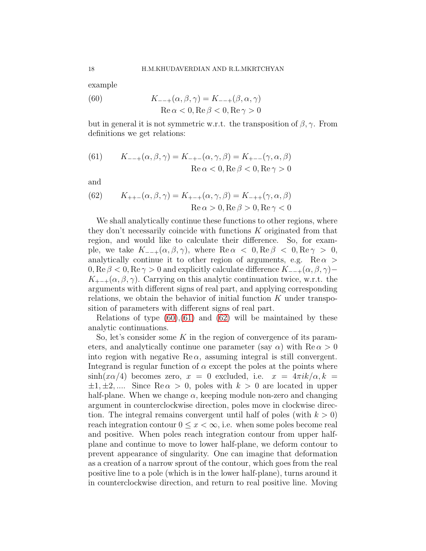example

<span id="page-17-0"></span>(60) 
$$
K_{-+}(\alpha, \beta, \gamma) = K_{-+}(\beta, \alpha, \gamma)
$$

$$
\operatorname{Re}\alpha < 0, \operatorname{Re}\beta < 0, \operatorname{Re}\gamma > 0
$$

but in general it is not symmetric w.r.t. the transposition of  $\beta, \gamma$ . From definitions we get relations:

<span id="page-17-1"></span>(61) 
$$
K_{-+}(\alpha, \beta, \gamma) = K_{-+}(\alpha, \gamma, \beta) = K_{+}(\gamma, \alpha, \beta)
$$

$$
\operatorname{Re}\alpha < 0, \operatorname{Re}\beta < 0, \operatorname{Re}\gamma > 0
$$

and

<span id="page-17-2"></span>(62) 
$$
K_{++-}(\alpha, \beta, \gamma) = K_{+-+}(\alpha, \gamma, \beta) = K_{-++}(\gamma, \alpha, \beta)
$$

$$
\operatorname{Re} \alpha > 0, \operatorname{Re} \beta > 0, \operatorname{Re} \gamma < 0
$$

We shall analytically continue these functions to other regions, where they don't necessarily coincide with functions  $K$  originated from that region, and would like to calculate their difference. So, for example, we take  $K_{-+}(\alpha, \beta, \gamma)$ , where  $\text{Re}\,\alpha < 0$ ,  $\text{Re}\,\beta < 0$ ,  $\text{Re}\,\gamma > 0$ , analytically continue it to other region of arguments, e.g.  $\text{Re}\,\alpha$  $0, \text{Re}\,\beta < 0, \text{Re}\,\gamma > 0$  and explicitly calculate difference  $K_{-+}(\alpha, \beta, \gamma)$  $K_{+-+}(\alpha, \beta, \gamma)$ . Carrying on this analytic continuation twice, w.r.t. the arguments with different signs of real part, and applying corresponding relations, we obtain the behavior of initial function  $K$  under transposition of parameters with different signs of real part.

Relations of type  $(60),(61)$  $(60),(61)$  and  $(62)$  will be maintained by these analytic continuations.

So, let's consider some K in the region of convergence of its parameters, and analytically continue one parameter (say  $\alpha$ ) with  $\text{Re}\,\alpha > 0$ into region with negative Re $\alpha$ , assuming integral is still convergent. Integrand is regular function of  $\alpha$  except the poles at the points where  $\sinh(x\alpha/4)$  becomes zero,  $x = 0$  excluded, i.e.  $x = 4\pi i k/\alpha$ ,  $k =$  $\pm 1, \pm 2, \dots$  Since Re $\alpha > 0$ , poles with  $k > 0$  are located in upper half-plane. When we change  $\alpha$ , keeping module non-zero and changing argument in counterclockwise direction, poles move in clockwise direction. The integral remains convergent until half of poles (with  $k > 0$ ) reach integration contour  $0 \leq x < \infty$ , i.e. when some poles become real and positive. When poles reach integration contour from upper halfplane and continue to move to lower half-plane, we deform contour to prevent appearance of singularity. One can imagine that deformation as a creation of a narrow sprout of the contour, which goes from the real positive line to a pole (which is in the lower half-plane), turns around it in counterclockwise direction, and return to real positive line. Moving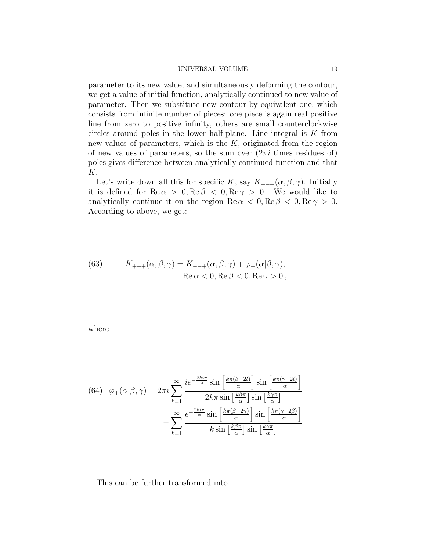#### UNIVERSAL VOLUME 19

parameter to its new value, and simultaneously deforming the contour, we get a value of initial function, analytically continued to new value of parameter. Then we substitute new contour by equivalent one, which consists from infinite number of pieces: one piece is again real positive line from zero to positive infinity, others are small counterclockwise circles around poles in the lower half-plane. Line integral is  $K$  from new values of parameters, which is the  $K$ , originated from the region of new values of parameters, so the sum over  $(2\pi i \text{ times residues of})$ poles gives difference between analytically continued function and that K.

Let's write down all this for specific K, say  $K_{+-+}(\alpha, \beta, \gamma)$ . Initially it is defined for  $\text{Re}\,\alpha > 0, \text{Re}\,\beta < 0, \text{Re}\,\gamma > 0$ . We would like to analytically continue it on the region  $\text{Re}\,\alpha < 0, \text{Re}\,\beta < 0, \text{Re}\,\gamma > 0.$ According to above, we get:

<span id="page-18-1"></span>(63) 
$$
K_{+-+}(\alpha, \beta, \gamma) = K_{--+}(\alpha, \beta, \gamma) + \varphi_+(\alpha|\beta, \gamma),
$$

$$
\operatorname{Re}\alpha < 0, \operatorname{Re}\beta < 0, \operatorname{Re}\gamma > 0,
$$

where

<span id="page-18-0"></span>(64) 
$$
\varphi_{+}(\alpha|\beta,\gamma) = 2\pi i \sum_{k=1}^{\infty} \frac{ie^{-\frac{2k i\pi}{\alpha}} \sin\left[\frac{k\pi(\beta-2t)}{\alpha}\right] \sin\left[\frac{k\pi(\gamma-2t)}{\alpha}\right]}{2k\pi \sin\left[\frac{k\beta\pi}{\alpha}\right] \sin\left[\frac{k\gamma\pi}{\alpha}\right]}
$$

$$
= -\sum_{k=1}^{\infty} \frac{e^{-\frac{2k i\pi}{\alpha}} \sin\left[\frac{k\pi(\beta+2\gamma)}{\alpha}\right] \sin\left[\frac{k\pi(\gamma+2\beta)}{\alpha}\right]}{k \sin\left[\frac{k\beta\pi}{\alpha}\right] \sin\left[\frac{k\gamma\pi}{\alpha}\right]}
$$

## This can be further transformed into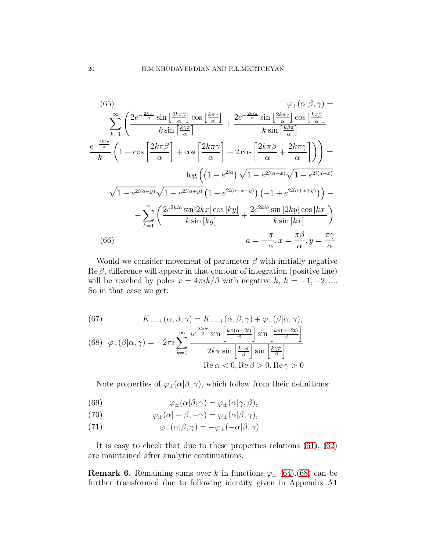(65)  
\n
$$
\varphi_{+}(\alpha|\beta,\gamma) = -\sum_{k=1}^{\infty} \left( \frac{2e^{-\frac{2ki\pi}{\alpha}}\sin\left[\frac{2k\pi\beta}{\alpha}\right]\cos\left[\frac{k\pi\gamma}{\alpha}\right]}{k\sin\left[\frac{k\gamma\pi}{\alpha}\right]} + \frac{2e^{-\frac{2ki\pi}{\alpha}}\sin\left[\frac{2k\pi\gamma}{\alpha}\right]\cos\left[\frac{k\pi\beta}{\alpha}\right]}{k\sin\left[\frac{k\beta\pi}{\alpha}\right]} + \frac{e^{-\frac{2ki\pi}{\alpha}}}{k\sin\left[\frac{k\beta\pi}{\alpha}\right]} \right)
$$
\n
$$
= \frac{\log\left(1 + \cos\left[\frac{2k\pi\beta}{\alpha}\right] + \cos\left[\frac{2k\pi\gamma}{\alpha}\right] + 2\cos\left[\frac{2k\pi\beta}{\alpha} + \frac{2k\pi\gamma}{\alpha}\right]\right)\right) = \log\left(\left(1 - e^{2ia}\right)\sqrt{1 - e^{2i(a-x)}}\sqrt{1 - e^{2i(a+x)}}
$$
\n
$$
\sqrt{1 - e^{2i(a-y)}}\sqrt{1 - e^{2i(a+y)}}\left(1 - e^{2i(a-x-y)}\right)\left(-1 + e^{2i(a+x+y)}\right)\right) - \frac{\sum_{k=1}^{\infty} \left(\frac{2e^{2kia}\sin[2kx]\cos[ky]}{k\sin[ky]} + \frac{2e^{2kia}\sin[2ky]\cos[kx]}{k\sin[kx]}\right)}{k\sin[kx]}
$$
\n(66)  
\n
$$
a = -\frac{\pi}{\alpha}, x = \frac{\pi\beta}{\alpha}, y = \frac{\pi\gamma}{\alpha}
$$

Would we consider movement of parameter  $\beta$  with initially negative  $\text{Re}\,\beta$ , difference will appear in that contour of integration (positive line) will be reached by poles  $x = 4\pi i k/\beta$  with negative k,  $k = -1, -2, \dots$ So in that case we get:

<span id="page-19-0"></span>(67) 
$$
K_{--+}(\alpha, \beta, \gamma) = K_{-++}(\alpha, \beta, \gamma) + \varphi_{-}(\beta|\alpha, \gamma),
$$

(68) 
$$
\varphi_{-}(\beta|\alpha,\gamma) = -2\pi i \sum_{k=1}^{\infty} \frac{ie^{\frac{2k i\pi}{\beta}} \sin\left[\frac{k\pi(\alpha-2t)}{\beta}\right] \sin\left[\frac{k\pi(\gamma-2t)}{\beta}\right]}{2k\pi \sin\left[\frac{k\alpha\pi}{\beta}\right] \sin\left[\frac{k\gamma\pi}{\beta}\right]}
$$

$$
\text{Re}\,\alpha < 0, \text{Re}\,\beta > 0, \text{Re}\,\gamma > 0
$$

Note properties of  $\varphi_{\pm}(\alpha|\beta,\gamma)$ , which follow from their definitions:

(69) 
$$
\varphi_{\pm}(\alpha|\beta,\gamma) = \varphi_{\pm}(\alpha|\gamma,\beta),
$$

(70) 
$$
\varphi_{\pm}(\alpha | -\beta, -\gamma) = \varphi_{\pm}(\alpha | \beta, \gamma),
$$

(71) 
$$
\varphi_{-}(\alpha|\beta,\gamma) = -\varphi_{+}(-\alpha|\beta,\gamma)
$$

It is easy to check that due to these properties relations [\(61\)](#page-17-1), [\(62\)](#page-17-2) are maintained after analytic continuations.

<span id="page-19-1"></span>**Remark 6.** Remaining sums over k in functions  $\varphi_{\pm}$  [\(64\)](#page-18-0), [\(68\)](#page-19-0) can be further transformed due to following identity given in Appendix A1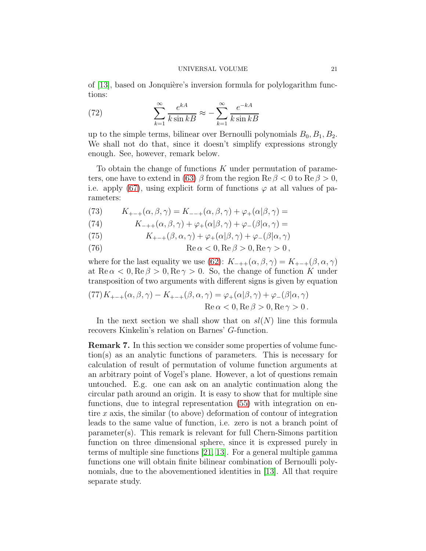of [\[13\]](#page-25-14), based on Jonquière's inversion formula for polylogarithm functions:

(72) 
$$
\sum_{k=1}^{\infty} \frac{e^{kA}}{k \sin kB} \approx -\sum_{k=1}^{\infty} \frac{e^{-kA}}{k \sin kB}
$$

up to the simple terms, bilinear over Bernoulli polynomials  $B_0, B_1, B_2$ . We shall not do that, since it doesn't simplify expressions strongly enough. See, however, remark below.

To obtain the change of functions  $K$  under permutation of parame-ters, one have to extend in [\(63\)](#page-18-1)  $\beta$  from the region Re  $\beta$  < 0 to Re  $\beta$  > 0, i.e. apply [\(67\)](#page-19-0), using explicit form of functions  $\varphi$  at all values of parameters:

(73) 
$$
K_{+-+}(\alpha, \beta, \gamma) = K_{--+}(\alpha, \beta, \gamma) + \varphi_+(\alpha|\beta, \gamma) =
$$

(74) 
$$
K_{-++}(\alpha,\beta,\gamma) + \varphi_+(\alpha|\beta,\gamma) + \varphi_-(\beta|\alpha,\gamma) =
$$

(75) 
$$
K_{+-+}(\beta,\alpha,\gamma) + \varphi_+(\alpha|\beta,\gamma) + \varphi_-(\beta|\alpha,\gamma)
$$

(76) 
$$
\operatorname{Re}\alpha < 0, \operatorname{Re}\beta > 0, \operatorname{Re}\gamma > 0,
$$

where for the last equality we use [\(62\)](#page-17-2):  $K_{-++}(\alpha, \beta, \gamma) = K_{+-+}(\beta, \alpha, \gamma)$ at Re  $\alpha < 0$ , Re  $\beta > 0$ , Re  $\gamma > 0$ . So, the change of function K under transposition of two arguments with different signs is given by equation

<span id="page-20-0"></span>
$$
(77) K_{+-+}(\alpha, \beta, \gamma) - K_{+-+}(\beta, \alpha, \gamma) = \varphi_+(\alpha|\beta, \gamma) + \varphi_-(\beta|\alpha, \gamma)
$$
  
Re  $\alpha < 0$ , Re  $\beta > 0$ , Re  $\gamma > 0$ .

In the next section we shall show that on  $sl(N)$  line this formula recovers Kinkelin's relation on Barnes' G-function.

<span id="page-20-1"></span>Remark 7. In this section we consider some properties of volume function(s) as an analytic functions of parameters. This is necessary for calculation of result of permutation of volume function arguments at an arbitrary point of Vogel's plane. However, a lot of questions remain untouched. E.g. one can ask on an analytic continuation along the circular path around an origin. It is easy to show that for multiple sine functions, due to integral representation [\(55\)](#page-15-1) with integration on entire  $x$  axis, the similar (to above) deformation of contour of integration leads to the same value of function, i.e. zero is not a branch point of parameter(s). This remark is relevant for full Chern-Simons partition function on three dimensional sphere, since it is expressed purely in terms of multiple sine functions [\[21,](#page-26-16) [13\]](#page-25-14). For a general multiple gamma functions one will obtain finite bilinear combination of Bernoulli polynomials, due to the abovementioned identities in [\[13\]](#page-25-14). All that require separate study.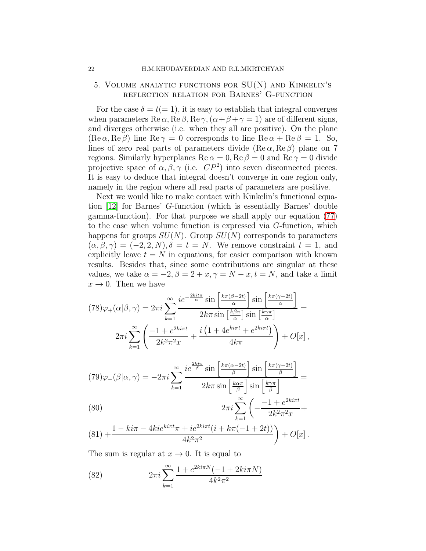### 22 H.M.KHUDAVERDIAN AND R.L.MKRTCHYAN

# 5. Volume analytic functions for SU(N) and Kinkelin's reflection relation for Barnes' G-function

For the case  $\delta = t(= 1)$ , it is easy to establish that integral converges when parameters Re  $\alpha$ , Re  $\beta$ , Re  $\gamma$ ,  $(\alpha + \beta + \gamma = 1)$  are of different signs, and diverges otherwise (i.e. when they all are positive). On the plane  $(Re \alpha, Re \beta)$  line  $Re \gamma = 0$  corresponds to line  $Re \alpha + Re \beta = 1$ . So, lines of zero real parts of parameters divide  $(Re \alpha, Re \beta)$  plane on 7 regions. Similarly hyperplanes Re  $\alpha = 0$ , Re  $\beta = 0$  and Re  $\gamma = 0$  divide projective space of  $\alpha, \beta, \gamma$  (i.e.  $\mathbb{CP}^2$ ) into seven disconnected pieces. It is easy to deduce that integral doesn't converge in one region only, namely in the region where all real parts of parameters are positive.

Next we would like to make contact with Kinkelin's functional equation [\[12\]](#page-25-9) for Barnes' G-function (which is essentially Barnes' double gamma-function). For that purpose we shall apply our equation [\(77\)](#page-20-0) to the case when volume function is expressed via G-function, which happens for groups  $SU(N)$ . Group  $SU(N)$  corresponds to parameters  $(\alpha, \beta, \gamma) = (-2, 2, N), \delta = t = N$ . We remove constraint  $t = 1$ , and explicitly leave  $t = N$  in equations, for easier comparison with known results. Besides that, since some contributions are singular at these values, we take  $\alpha = -2, \beta = 2 + x, \gamma = N - x, t = N$ , and take a limit  $x \to 0$ . Then we have

$$
(78)\varphi_{+}(\alpha|\beta,\gamma) = 2\pi i \sum_{k=1}^{\infty} \frac{ie^{-\frac{2kit\pi}{\alpha}}\sin\left[\frac{k\pi(\beta-2t)}{\alpha}\right]\sin\left[\frac{k\pi(\gamma-2t)}{\alpha}\right]}{2k\pi\sin\left[\frac{k\beta\pi}{\alpha}\right]\sin\left[\frac{k\gamma\pi}{\alpha}\right]} = 2\pi i \sum_{k=1}^{\infty} \left(\frac{-1+e^{2k\pi t}}{2k^{2}\pi^{2}x} + \frac{i\left(1+4e^{k\pi t}+e^{2k\pi t}\right)}{4k\pi}\right) + O[x],
$$

$$
(79)\varphi_{-}(\beta|\alpha,\gamma) = -2\pi i \sum_{k=1}^{\infty} \frac{ie^{\frac{2ki\pi}{\beta}} \sin\left[\frac{k\pi(\alpha-2t)}{\beta}\right] \sin\left[\frac{k\pi(\gamma-2t)}{\beta}\right]}{2k\pi \sin\left[\frac{k\alpha\pi}{\beta}\right] \sin\left[\frac{k\gamma\pi}{\beta}\right]} =
$$
\n
$$
(80) \qquad 2\pi i \sum_{k=1}^{\infty} \left(-\frac{-1 + e^{2ki\pi t}}{2k^2 \beta^2} + \cdots\right)
$$

(80)  
\n
$$
2\pi i \sum_{k=1}^{\infty} \left( -\frac{1}{2k^2 \pi^2 x} + 1 - k i \pi - 4k i e^{k i \pi t} \pi + i e^{2 k i \pi t} (i + k \pi (-1 + 2t)) \right)
$$

$$
(81) + \frac{1 - k i \pi - 4 k i e^{k i \pi t} \pi + i e^{2 k i \pi t} (i + k \pi (-1 + 2t))}{4 k^2 \pi^2} + O[x].
$$

The sum is regular at  $x \to 0$ . It is equal to

<span id="page-21-1"></span>(82) 
$$
2\pi i \sum_{k=1}^{\infty} \frac{1 + e^{2ki\pi N}(-1 + 2ki\pi N)}{4k^2\pi^2}
$$

<span id="page-21-0"></span>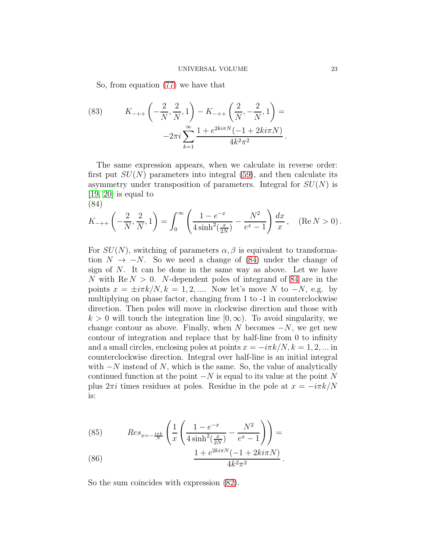So, from equation [\(77\)](#page-20-0) we have that

<span id="page-22-1"></span>(83) 
$$
K_{-++}\left(-\frac{2}{N}, \frac{2}{N}, 1\right) - K_{-++}\left(\frac{2}{N}, -\frac{2}{N}, 1\right) = -2\pi i \sum_{k=1}^{\infty} \frac{1 + e^{2ki\pi N}(-1 + 2ki\pi N)}{4k^2\pi^2}.
$$

The same expression appears, when we calculate in reverse order: first put  $SU(N)$  parameters into integral [\(59\)](#page-16-2), and then calculate its asymmetry under transposition of parameters. Integral for  $SU(N)$  is [\[19,](#page-26-9) [20\]](#page-26-13) is equal to (84)

<span id="page-22-0"></span>
$$
K_{-++}\left(-\frac{2}{N},\frac{2}{N},1\right) = \int_0^\infty \left(\frac{1-e^{-x}}{4\sinh^2(\frac{x}{2N})} - \frac{N^2}{e^x-1}\right)\frac{dx}{x}, \quad (\text{Re}\,N > 0).
$$

For  $SU(N)$ , switching of parameters  $\alpha, \beta$  is equivalent to transformation  $N \to -N$ . So we need a change of [\(84\)](#page-22-0) under the change of sign of  $N$ . It can be done in the same way as above. Let we have N with  $\text{Re } N > 0$ . N-dependent poles of integrand of [84](#page-22-0) are in the points  $x = \pm i\pi k/N$ ,  $k = 1, 2, ...$  Now let's move N to  $-N$ , e.g. by multiplying on phase factor, changing from 1 to -1 in counterclockwise direction. Then poles will move in clockwise direction and those with  $k > 0$  will touch the integration line  $[0, \infty)$ . To avoid singularity, we change contour as above. Finally, when N becomes  $-N$ , we get new contour of integration and replace that by half-line from 0 to infinity and a small circles, enclosing poles at points  $x = -i\pi k/N$ ,  $k = 1, 2, ...$  in counterclockwise direction. Integral over half-line is an initial integral with  $-N$  instead of N, which is the same. So, the value of analytically continued function at the point  $-N$  is equal to its value at the point N plus  $2\pi i$  times residues at poles. Residue in the pole at  $x = -i\pi k/N$ is:

<span id="page-22-2"></span>(85) 
$$
Res_{x=-\frac{i\pi k}{N}}\left(\frac{1}{x}\left(\frac{1-e^{-x}}{4\sinh^2(\frac{x}{2N})}-\frac{N^2}{e^x-1}\right)\right)=
$$

(86) 
$$
\frac{1 + e^{2ki\pi N}(-1 + 2ki\pi N)}{4k^2\pi^2}.
$$

So the sum coincides with expression [\(82\)](#page-21-1).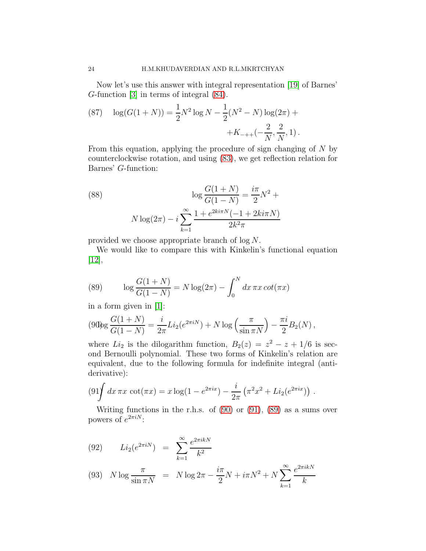Now let's use this answer with integral representation [\[19\]](#page-26-9) of Barnes' G-function [\[3\]](#page-25-15) in terms of integral [\(84\)](#page-22-0).

(87) 
$$
\log(G(1+N)) = \frac{1}{2}N^2 \log N - \frac{1}{2}(N^2 - N)\log(2\pi) + K_{-++}(-\frac{2}{N}, \frac{2}{N}, 1).
$$

From this equation, applying the procedure of sign changing of N by counterclockwise rotation, and using [\(83\)](#page-22-1), we get reflection relation for Barnes' G-function:

<span id="page-23-3"></span>(88) 
$$
\log \frac{G(1+N)}{G(1-N)} = \frac{i\pi}{2}N^2 + N \log(2\pi) - i \sum_{k=1}^{\infty} \frac{1 + e^{2ki\pi N}(-1 + 2ki\pi N)}{2k^2\pi}
$$

provided we choose appropriate branch of log N.

We would like to compare this with Kinkelin's functional equation [\[12\]](#page-25-9),

<span id="page-23-2"></span>(89) 
$$
\log \frac{G(1+N)}{G(1-N)} = N \log(2\pi) - \int_0^N dx \pi x \cot(\pi x)
$$

in a form given in [\[1\]](#page-25-8):

<span id="page-23-0"></span>
$$
(90)g\frac{G(1+N)}{G(1-N)} = \frac{i}{2\pi}Li_2(e^{2\pi i N}) + N\log\left(\frac{\pi}{\sin \pi N}\right) - \frac{\pi i}{2}B_2(N),
$$

where  $Li_2$  is the dilogarithm function,  $B_2(z) = z^2 - z + 1/6$  is second Bernoulli polynomial. These two forms of Kinkelin's relation are equivalent, due to the following formula for indefinite integral (antiderivative):

<span id="page-23-1"></span>
$$
(91) \int dx \,\pi x \, \cot(\pi x) = x \log(1 - e^{2\pi i x}) - \frac{i}{2\pi} \left( \pi^2 x^2 + Li_2(e^{2\pi i x}) \right) \, .
$$

Writing functions in the r.h.s. of [\(90\)](#page-23-0) or [\(91\)](#page-23-1), [\(89\)](#page-23-2) as a sums over powers of  $e^{2\pi i N}$ :

(92) 
$$
Li_2(e^{2\pi iN}) = \sum_{k=1}^{\infty} \frac{e^{2\pi i kN}}{k^2}
$$

(93) 
$$
N \log \frac{\pi}{\sin \pi N} = N \log 2\pi - \frac{i\pi}{2}N + i\pi N^2 + N \sum_{k=1}^{\infty} \frac{e^{2\pi i kN}}{k}
$$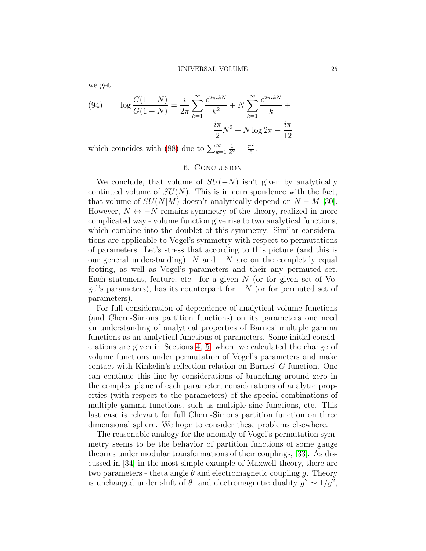we get:

(94) 
$$
\log \frac{G(1+N)}{G(1-N)} = \frac{i}{2\pi} \sum_{k=1}^{\infty} \frac{e^{2\pi i kN}}{k^2} + N \sum_{k=1}^{\infty} \frac{e^{2\pi i kN}}{k} + \frac{i\pi}{2} N^2 + N \log 2\pi - \frac{i\pi}{12}
$$

<span id="page-24-0"></span>which coincides with [\(88\)](#page-23-3) due to  $\sum_{k=1}^{\infty}$  $\frac{1}{k^2} = \frac{\pi^2}{6}$  $\frac{1}{6}$ .

### 6. Conclusion

We conclude, that volume of  $SU(-N)$  isn't given by analytically continued volume of  $SU(N)$ . This is in correspondence with the fact, that volume of  $SU(N|M)$  doesn't analytically depend on  $N - M$  [\[30\]](#page-26-12). However,  $N \leftrightarrow -N$  remains symmetry of the theory, realized in more complicated way - volume function give rise to two analytical functions, which combine into the doublet of this symmetry. Similar considerations are applicable to Vogel's symmetry with respect to permutations of parameters. Let's stress that according to this picture (and this is our general understanding), N and  $-N$  are on the completely equal footing, as well as Vogel's parameters and their any permuted set. Each statement, feature, etc. for a given  $N$  (or for given set of Vogel's parameters), has its counterpart for  $-N$  (or for permuted set of parameters).

For full consideration of dependence of analytical volume functions (and Chern-Simons partition functions) on its parameters one need an understanding of analytical properties of Barnes' multiple gamma functions as an analytical functions of parameters. Some initial considerations are given in Sections [4,](#page-15-0) [5,](#page-21-0) where we calculated the change of volume functions under permutation of Vogel's parameters and make contact with Kinkelin's reflection relation on Barnes' G-function. One can continue this line by considerations of branching around zero in the complex plane of each parameter, considerations of analytic properties (with respect to the parameters) of the special combinations of multiple gamma functions, such as multiple sine functions, etc. This last case is relevant for full Chern-Simons partition function on three dimensional sphere. We hope to consider these problems elsewhere.

The reasonable analogy for the anomaly of Vogel's permutation symmetry seems to be the behavior of partition functions of some gauge theories under modular transformations of their couplings, [\[33\]](#page-26-18). As discussed in [\[34\]](#page-26-19) in the most simple example of Maxwell theory, there are two parameters - theta angle  $\theta$  and electromagnetic coupling g. Theory is unchanged under shift of  $\theta$  and electromagnetic duality  $g^2 \sim 1/g^2$ ,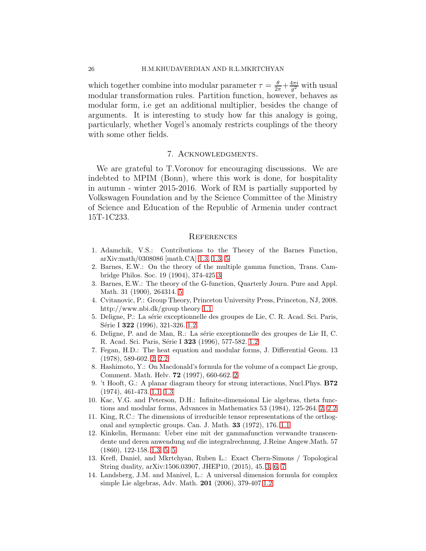which together combine into modular parameter  $\tau = \frac{\theta}{2\pi} + \frac{4\pi i}{g^2}$  $\frac{4\pi\imath}{g^2}$  with usual modular transformation rules. Partition function, however, behaves as modular form, i.e get an additional multiplier, besides the change of arguments. It is interesting to study how far this analogy is going, particularly, whether Vogel's anomaly restricts couplings of the theory with some other fields.

## 7. Acknowledgments.

<span id="page-25-0"></span>We are grateful to T.Voronov for encouraging discussions. We are indebted to MPIM (Bonn), where this work is done, for hospitality in autumn - winter 2015-2016. Work of RM is partially supported by Volkswagen Foundation and by the Science Committee of the Ministry of Science and Education of the Republic of Armenia under contract 15T-1C233.

#### <span id="page-25-1"></span>**REFERENCES**

- <span id="page-25-8"></span>1. Adamchik, V.S.: Contributions to the Theory of the Barnes Function, arXiv:math/0308086 [math.CA] [1.3,](#page-4-0) [1.3,](#page-5-2) [5](#page-23-2)
- <span id="page-25-13"></span>2. Barnes, E.W.: On the theory of the multiple gamma function, Trans. Cambridge Philos. Soc. 19 (1904), 374-425 [3](#page-9-0)
- <span id="page-25-15"></span>3. Barnes, E.W.: The theory of the G-function, Quarterly Journ. Pure and Appl. Math. 31 (1900), 264314. [5](#page-22-2)
- <span id="page-25-3"></span>4. Cvitanovic, P.: Group Theory, Princeton University Press, Princeton, NJ, 2008. http://www.nbi.dk/group theory [1.1](#page-1-1)
- <span id="page-25-5"></span>5. Deligne, P.: La série exceptionnelle des groupes de Lie, C. R. Acad. Sci. Paris, Série I 322 (1996), 321-326. [1.2](#page-2-0)
- <span id="page-25-6"></span>6. Deligne, P. and de Man, R.: La série exceptionnelle des groupes de Lie II, C. R. Acad. Sci. Paris, Série I 323 (1996), 577-582. [1.2](#page-2-0)
- <span id="page-25-12"></span>7. Fegan, H.D.: The heat equation and modular forms, J. Differential Geom. 13 (1978), 589-602. [2,](#page-5-0) [2.2](#page-7-0)
- <span id="page-25-10"></span>8. Hashimoto, Y.: On Macdonald's formula for the volume of a compact Lie group, Comment. Math. Helv. 72 (1997), 660-662. [2](#page-5-0)
- <span id="page-25-4"></span>9. 't Hooft, G.: A planar diagram theory for strong interactions, Nucl.Phys. B72 (1974), 461-473. [1.1,](#page-1-1) [1.3](#page-4-0)
- <span id="page-25-11"></span>10. Kac, V.G. and Peterson, D.H.: Infinite-dimensional Lie algebras, theta functions and modular forms, Advances in Mathematics 53 (1984), 125-264. [2,](#page-5-0) [2.2](#page-7-0)
- <span id="page-25-2"></span>11. King, R.C.: The dimensions of irreducible tensor representations of the orthogonal and symplectic groups. Can. J. Math. 33 (1972), 176. [1.1](#page-1-1)
- <span id="page-25-9"></span>12. Kinkelin, Hermann: Ueber eine mit der gammafunction verwandte transcendente und deren anwendung auf die integralrechnung, J.Reine Angew.Math. 57 (1860), 122-158. [1.3,](#page-5-2) [5,](#page-21-0) [5](#page-23-3)
- <span id="page-25-14"></span>13. Krefl, Daniel, and Mkrtchyan, Ruben L.: Exact Chern-Simons / Topological String duality, arXiv:1506.03907, JHEP10, (2015), 45. [3,](#page-15-1) [6,](#page-19-1) [7](#page-20-1)
- <span id="page-25-7"></span>14. Landsberg, J.M. and Manivel, L.: A universal dimension formula for complex simple Lie algebras, Adv. Math. 201 (2006), 379-407 [1.2](#page-3-0)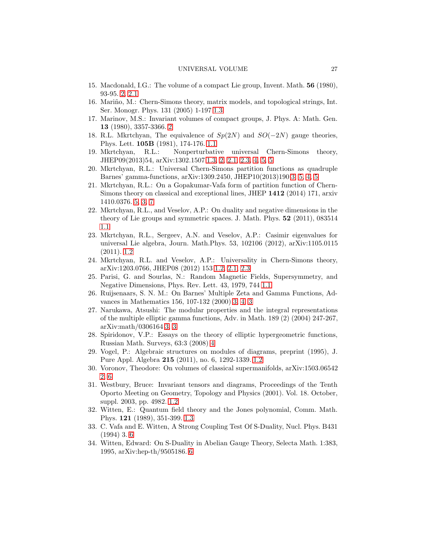- <span id="page-26-10"></span><span id="page-26-7"></span>15. Macdonald, I.G.: The volume of a compact Lie group, Invent. Math. 56 (1980), 93-95. [2,](#page-5-0) [2.1](#page-6-0)
- 16. Mariño, M.: Chern-Simons theory, matrix models, and topological strings, Int. Ser. Monogr. Phys. 131 (2005) 1-197 [1.3](#page-4-0)
- <span id="page-26-11"></span>17. Marinov, M.S.: Invariant volumes of compact groups, J. Phys. A: Math. Gen. 13 (1980), 3357-3366. [2](#page-5-0)
- <span id="page-26-2"></span>18. R.L. Mkrtchyan, The equivalence of  $Sp(2N)$  and  $SO(-2N)$  gauge theories, Phys. Lett. 105B (1981), 174-176. [1.1](#page-1-1)
- <span id="page-26-9"></span>19. Mkrtchyan, R.L.: Nonperturbative universal Chern-Simons theory, JHEP09(2013)54, arXiv:1302.1507 [1.3,](#page-4-0) [2,](#page-5-0) [2.1,](#page-6-0) [2.3,](#page-8-0) [4,](#page-15-2) [5,](#page-22-1) [5](#page-22-2)
- <span id="page-26-13"></span>20. Mkrtchyan, R.L.: Universal Chern-Simons partition functions as quadruple Barnes' gamma-functions, arXiv:1309.2450, JHEP10(2013)190 [3,](#page-9-0) [5,](#page-13-0) [4,](#page-16-1) [5](#page-22-1)
- <span id="page-26-16"></span>21. Mkrtchyan, R.L.: On a Gopakumar-Vafa form of partition function of Chern-Simons theory on classical and exceptional lines, JHEP 1412 (2014) 171, arxiv 1410.0376. [5,](#page-13-0) [3,](#page-15-1) [7](#page-20-1)
- <span id="page-26-0"></span>22. Mkrtchyan, R.L., and Veselov, A.P.: On duality and negative dimensions in the theory of Lie groups and symmetric spaces. J. Math. Phys. 52 (2011), 083514 [1.1](#page-1-1)
- <span id="page-26-4"></span>23. Mkrtchyan, R.L., Sergeev, A.N. and Veselov, A.P.: Casimir eigenvalues for universal Lie algebra, Journ. Math.Phys. 53, 102106 (2012), arXiv:1105.0115 (2011). [1.2](#page-3-0)
- <span id="page-26-5"></span>24. Mkrtchyan, R.L. and Veselov, A.P.: Universality in Chern-Simons theory, arXiv:1203.0766, JHEP08 (2012) 153 [1.2,](#page-3-0) [2.1,](#page-6-0) [2.3](#page-8-3)
- <span id="page-26-14"></span><span id="page-26-1"></span>25. Parisi, G. and Sourlas, N.: Random Magnetic Fields, Supersymmetry, and Negative Dimensions, Phys. Rev. Lett. 43, 1979, 744 [1.1](#page-1-1)
- 26. Ruijsenaars, S. N. M.: On Barnes' Multiple Zeta and Gamma Functions, Advances in Mathematics 156, 107-132 (2000) [3,](#page-9-0) [4,](#page-12-3) [3](#page-13-1)
- <span id="page-26-17"></span>27. Narukawa, Atsushi: The modular properties and the integral representations of the multiple elliptic gamma functions, Adv. in Math. 189 (2) (2004) 247-267, arXiv:math/0306164 [3,](#page-13-2) [3](#page-14-2)
- <span id="page-26-15"></span>28. Spiridonov, V.P.: Essays on the theory of elliptic hypergeometric functions, Russian Math. Surveys, 63:3 (2008) [4](#page-12-3)
- <span id="page-26-3"></span>29. Vogel, P.: Algebraic structures on modules of diagrams, preprint (1995), J. Pure Appl. Algebra 215 (2011), no. 6, 1292-1339. [1.2](#page-1-2)
- <span id="page-26-12"></span>30. Voronov, Theodore: On volumes of classical supermanifolds, arXiv:1503.06542 [2,](#page-5-0) [6](#page-24-0)
- <span id="page-26-6"></span>31. Westbury, Bruce: Invariant tensors and diagrams, Proceedings of the Tenth Oporto Meeting on Geometry, Topology and Physics (2001). Vol. 18. October, suppl. 2003, pp. 4982. [1.2](#page-3-0)
- <span id="page-26-8"></span>32. Witten, E.: Quantum field theory and the Jones polynomial, Comm. Math. Phys. 121 (1989), 351-399. [1.3](#page-4-0)
- <span id="page-26-18"></span>33. C. Vafa and E. Witten, A Strong Coupling Test Of S-Duality, Nucl. Phys. B431 (1994) 3. [6](#page-24-0)
- <span id="page-26-19"></span>34. Witten, Edward: On S-Duality in Abelian Gauge Theory, Selecta Math. 1:383, 1995, arXiv:hep-th/9505186. [6](#page-24-0)